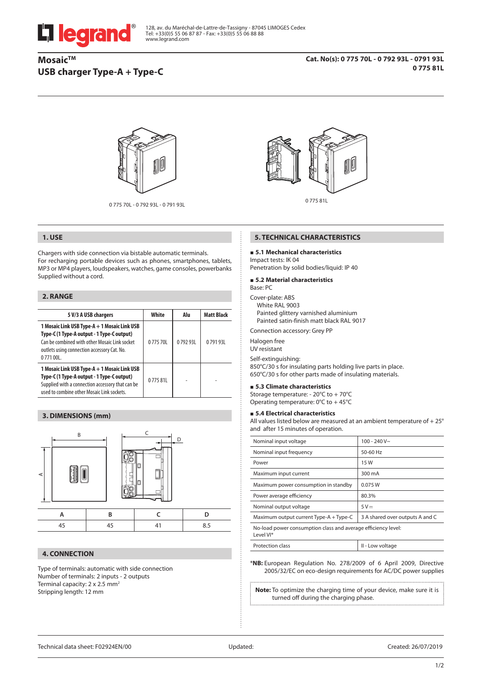

128, av. du Maréchal-de-Lattre-de-Tassigny - 87045 LIMOGES Cedex Tel: +33(0)5 55 06 87 87 - Fax: +33(0)5 55 06 88 88 www.legrand.com

# **Mosaic™ USB charger Type-A + Type-C**



0 775 70L - 0 792 93L - 0 791 93L



# **1. USE**

Chargers with side connection via bistable automatic terminals. For recharging portable devices such as phones, smartphones, tablets, MP3 or MP4 players, loudspeakers, watches, game consoles, powerbanks Supplied without a cord.

## **2. RANGE**

| 5 V/3 A USB chargers                                                                                                                                                                                    | White   | Alu     | <b>Matt Black</b> |
|---------------------------------------------------------------------------------------------------------------------------------------------------------------------------------------------------------|---------|---------|-------------------|
| 1 Mosaic Link USB Type-A + 1 Mosaic Link USB<br>Type-C (1 Type-A output - 1 Type-C output)<br>Can be combined with other Mosaic Link socket<br>outlets using connection accessory Cat. No.<br>0771 00L. | 077570L | 079293L | 079193L           |
| 1 Mosaic Link USB Type-A + 1 Mosaic Link USB<br>Type-C (1 Type-A output - 1 Type-C output)<br>Supplied with a connection accessory that can be<br>used to combine other Mosaic Link sockets.            | 077581L |         |                   |

## **3. DIMENSIONS (mm)**



# **4. CONNECTION**

Type of terminals: automatic with side connection Number of terminals: 2 inputs - 2 outputs Terminal capacity: 2 x 2.5 mm<sup>2</sup> Stripping length: 12 mm



#### **5. TECHNICAL CHARACTERISTICS**

## **5.1 Mechanical characteristics**

Impact tests: IK 04 Penetration by solid bodies/liquid: IP 40

#### **5.2 Material characteristics**

#### Base: PC

Cover-plate: ABS White RAL 9003 Painted glittery varnished aluminium Painted satin-finish matt black RAL 9017

Connection accessory: Grey PP

Halogen free

UV resistant

Self-extinguishing: 850°C/30 s for insulating parts holding live parts in place. 650°C/30 s for other parts made of insulating materials.

# **5.3 Climate characteristics**

Storage temperature: - 20°C to + 70°C Operating temperature: 0°C to + 45°C

#### **5.4 Electrical characteristics**

All values listed below are measured at an ambient temperature of + 25° and after 15 minutes of operation.

| Nominal input voltage                                                       | $100 - 240V$ ~                  |  |
|-----------------------------------------------------------------------------|---------------------------------|--|
| Nominal input frequency                                                     | 50-60 Hz                        |  |
| Power                                                                       | 15W                             |  |
| Maximum input current                                                       | 300 mA                          |  |
| Maximum power consumption in standby                                        | 0.075 W                         |  |
| Power average efficiency                                                    | 80.3%                           |  |
| Nominal output voltage                                                      | $5V =$                          |  |
| Maximum output current Type-A + Type-C                                      | 3 A shared over outputs A and C |  |
| No-load power consumption class and average efficiency level:<br>I evel VI* |                                 |  |

| Protection class | II - Low voltage |
|------------------|------------------|
|                  |                  |

\***NB:** European Regulation No. 278/2009 of 6 April 2009, Directive 2005/32/EC on eco-design requirements for AC/DC power supplies

**Note:** To optimize the charging time of your device, make sure it is turned off during the charging phase.